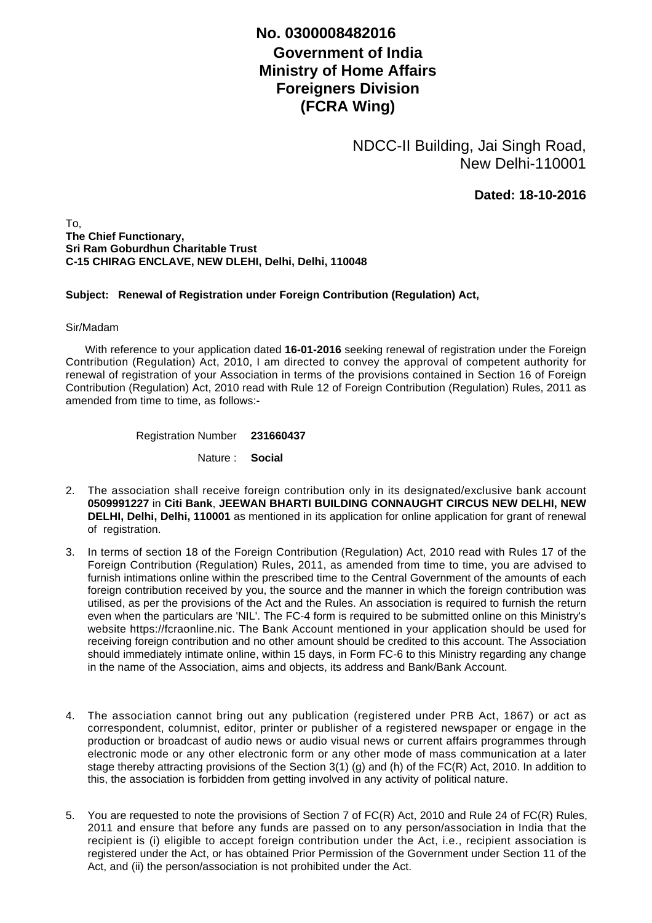## **No. 0300008482016**

## **Government of India Ministry of Home Affairs Foreigners Division (FCRA Wing)**

NDCC-II Building, Jai Singh Road, New Delhi-110001

**Dated: 18-10-2016**

To, **The Chief Functionary, Sri Ram Goburdhun Charitable Trust C-15 CHIRAG ENCLAVE, NEW DLEHI, Delhi, Delhi, 110048**

## **Subject: Renewal of Registration under Foreign Contribution (Regulation) Act,**

## Sir/Madam

 With reference to your application dated **16-01-2016** seeking renewal of registration under the Foreign Contribution (Regulation) Act, 2010, I am directed to convey the approval of competent authority for renewal of registration of your Association in terms of the provisions contained in Section 16 of Foreign Contribution (Regulation) Act, 2010 read with Rule 12 of Foreign Contribution (Regulation) Rules, 2011 as amended from time to time, as follows:-

Registration Number **231660437**

Nature : **Social**

- The association shall receive foreign contribution only in its designated/exclusive bank account 2. **0509991227** in **Citi Bank**, **JEEWAN BHARTI BUILDING CONNAUGHT CIRCUS NEW DELHI, NEW DELHI, Delhi, Delhi, 110001** as mentioned in its application for online application for grant of renewal of registration.
- 3. In terms of section 18 of the Foreign Contribution (Regulation) Act, 2010 read with Rules 17 of the Foreign Contribution (Regulation) Rules, 2011, as amended from time to time, you are advised to furnish intimations online within the prescribed time to the Central Government of the amounts of each foreign contribution received by you, the source and the manner in which the foreign contribution was utilised, as per the provisions of the Act and the Rules. An association is required to furnish the return even when the particulars are 'NIL'. The FC-4 form is required to be submitted online on this Ministry's website https://fcraonline.nic. The Bank Account mentioned in your application should be used for receiving foreign contribution and no other amount should be credited to this account. The Association should immediately intimate online, within 15 days, in Form FC-6 to this Ministry regarding any change in the name of the Association, aims and objects, its address and Bank/Bank Account.
- 4. The association cannot bring out any publication (registered under PRB Act, 1867) or act as correspondent, columnist, editor, printer or publisher of a registered newspaper or engage in the production or broadcast of audio news or audio visual news or current affairs programmes through electronic mode or any other electronic form or any other mode of mass communication at a later stage thereby attracting provisions of the Section 3(1) (g) and (h) of the FC(R) Act, 2010. In addition to this, the association is forbidden from getting involved in any activity of political nature.
- 5. You are requested to note the provisions of Section 7 of FC(R) Act, 2010 and Rule 24 of FC(R) Rules, 2011 and ensure that before any funds are passed on to any person/association in India that the recipient is (i) eligible to accept foreign contribution under the Act, i.e., recipient association is registered under the Act, or has obtained Prior Permission of the Government under Section 11 of the Act, and (ii) the person/association is not prohibited under the Act.